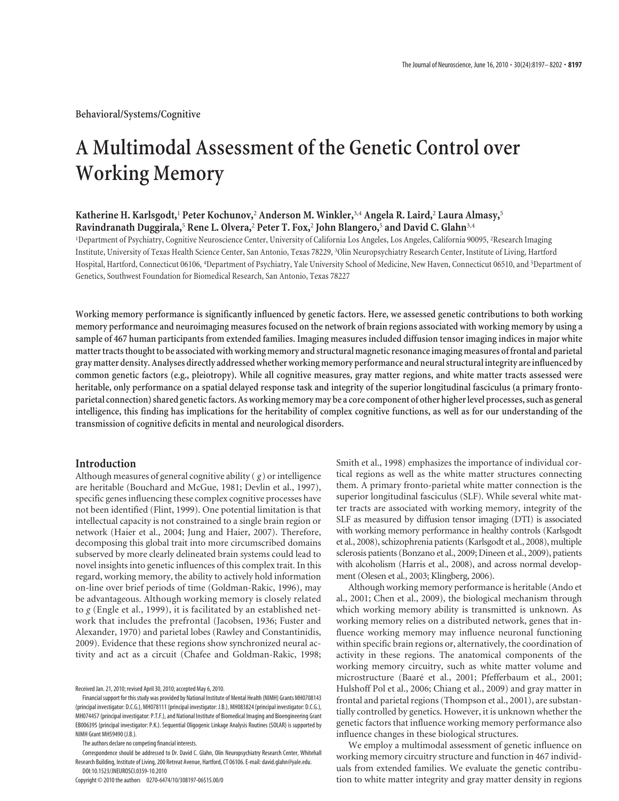**Behavioral/Systems/Cognitive**

# **A Multimodal Assessment of the Genetic Control over Working Memory**

# **Katherine H. Karlsgodt,**<sup>1</sup> **Peter Kochunov,**<sup>2</sup> **Anderson M. Winkler,**3,4 **Angela R. Laird,**<sup>2</sup> **Laura Almasy,**<sup>5</sup> **Ravindranath Duggirala,**<sup>5</sup> **Rene L. Olvera,**<sup>2</sup> **Peter T. Fox,**<sup>2</sup> **John Blangero,**<sup>5</sup> **and David C. Glahn**3,4

<sup>1</sup>Department of Psychiatry, Cognitive Neuroscience Center, University of California Los Angeles, Los Angeles, California 90095, <sup>2</sup>Research Imaging Institute, University of Texas Health Science Center, San Antonio, Texas 78229, <sup>3</sup> Olin Neuropsychiatry Research Center, Institute of Living, Hartford Hospital, Hartford, Connecticut 06106, <sup>4</sup> Department of Psychiatry, Yale University School of Medicine, New Haven, Connecticut 06510, and <sup>5</sup> Department of Genetics, Southwest Foundation for Biomedical Research, San Antonio, Texas 78227

**Working memory performance is significantly influenced by genetic factors. Here, we assessed genetic contributions to both working memory performance and neuroimaging measures focused on the network of brain regions associated with working memory by using a sample of 467 human participants from extended families. Imaging measures included diffusion tensor imaging indices in major white mattertractsthoughtto be associated with working memory and structural magnetic resonance imaging measures offrontal and parietal gray matter density. Analyses directly addressed whether working memory performance and neural structural integrity are influenced by common genetic factors (e.g., pleiotropy). While all cognitive measures, gray matter regions, and white matter tracts assessed were heritable, only performance on a spatial delayed response task and integrity of the superior longitudinal fasciculus (a primary frontoparietal connection) shared geneticfactors. As working memory may be a core component of other higher level processes, such as general intelligence, this finding has implications for the heritability of complex cognitive functions, as well as for our understanding of the transmission of cognitive deficits in mental and neurological disorders.**

## **Introduction**

Although measures of general cognitive ability ( *g* ) or intelligence are heritable (Bouchard and McGue, 1981; Devlin et al., 1997), specific genes influencing these complex cognitive processes have not been identified (Flint, 1999). One potential limitation is that intellectual capacity is not constrained to a single brain region or network (Haier et al., 2004; Jung and Haier, 2007). Therefore, decomposing this global trait into more circumscribed domains subserved by more clearly delineated brain systems could lead to novel insights into genetic influences of this complex trait. In this regard, working memory, the ability to actively hold information on-line over brief periods of time (Goldman-Rakic, 1996), may be advantageous. Although working memory is closely related to *g* (Engle et al., 1999), it is facilitated by an established network that includes the prefrontal (Jacobsen, 1936; Fuster and Alexander, 1970) and parietal lobes (Rawley and Constantinidis, 2009). Evidence that these regions show synchronized neural activity and act as a circuit (Chafee and Goldman-Rakic, 1998;

Copyright © 2010 the authors 0270-6474/10/308197-06\$15.00/0

Smith et al., 1998) emphasizes the importance of individual cortical regions as well as the white matter structures connecting them. A primary fronto-parietal white matter connection is the superior longitudinal fasciculus (SLF). While several white matter tracts are associated with working memory, integrity of the SLF as measured by diffusion tensor imaging (DTI) is associated with working memory performance in healthy controls (Karlsgodt et al., 2008), schizophrenia patients (Karlsgodt et al., 2008), multiple sclerosis patients (Bonzano et al., 2009; Dineen et al., 2009), patients with alcoholism (Harris et al., 2008), and across normal development (Olesen et al., 2003; Klingberg, 2006).

Although working memory performance is heritable (Ando et al., 2001; Chen et al., 2009), the biological mechanism through which working memory ability is transmitted is unknown. As working memory relies on a distributed network, genes that influence working memory may influence neuronal functioning within specific brain regions or, alternatively, the coordination of activity in these regions. The anatomical components of the working memory circuitry, such as white matter volume and microstructure (Baaré et al., 2001; Pfefferbaum et al., 2001; Hulshoff Pol et al., 2006; Chiang et al., 2009) and gray matter in frontal and parietal regions (Thompson et al., 2001), are substantially controlled by genetics. However, it is unknown whether the genetic factors that influence working memory performance also influence changes in these biological structures.

We employ a multimodal assessment of genetic influence on working memory circuitry structure and function in 467 individuals from extended families. We evaluate the genetic contribution to white matter integrity and gray matter density in regions

Received Jan. 21, 2010; revised April 30, 2010; accepted May 6, 2010.

Financial support for this study was provided by National Institute of Mental Health (NIMH) Grants MH0708143 (principal investigator: D.C.G.), MH078111 (principal investigator: J.B.), MH083824 (principal investigator: D.C.G.), MH074457 (principal investigator: P.T.F.), and National Institute of Biomedical Imaging and Bioengineering Grant EB006395 (principal investigator: P.K.). Sequential Oligogenic Linkage Analysis Routines (SOLAR) is supported by NIMH Grant MH59490 (J.B.).

The authors declare no competing financial interests.

Correspondence should be addressed to Dr. David C. Glahn, Olin Neuropsychiatry Research Center, Whitehall Research Building, Institute of Living, 200 Retreat Avenue, Hartford, CT 06106. E-mail: david.glahn@yale.edu. DOI:10.1523/JNEUROSCI.0359-10.2010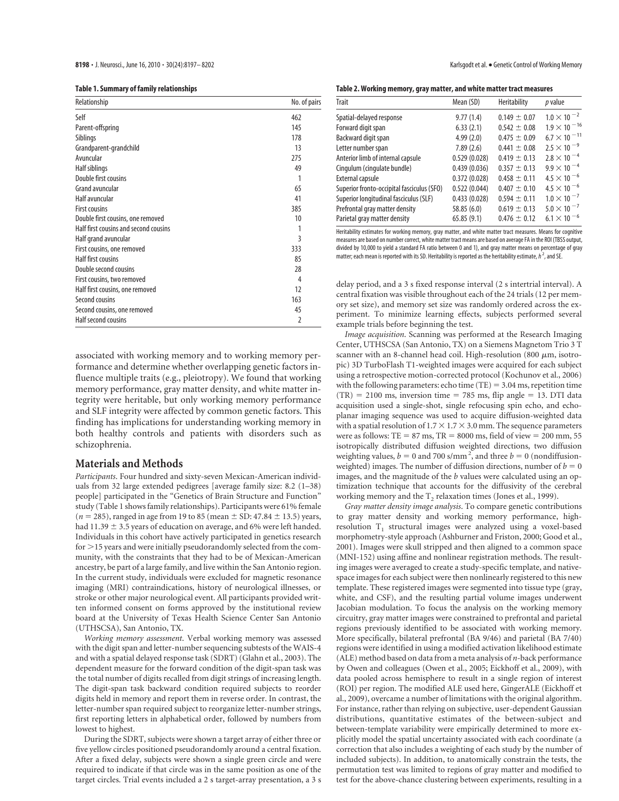#### **8198 •** J. Neurosci., June 16, 2010 • 30(24):8197−8202 **Karlsgodt et al. •** Genetic Control of Working Memory

**Table 1. Summary of family relationships**

| Relationship                          | No. of pairs   |
|---------------------------------------|----------------|
| Self                                  | 462            |
| Parent-offspring                      | 145            |
| Siblings                              | 178            |
| Grandparent-grandchild                | 13             |
| Avuncular                             | 275            |
| Half siblings                         | 49             |
| Double first cousins                  | 1              |
| Grand avuncular                       | 65             |
| Half avuncular                        | 41             |
| <b>First cousins</b>                  | 385            |
| Double first cousins, one removed     | 10             |
| Half first cousins and second cousins | 1              |
| Half grand avuncular                  | 3              |
| First cousins, one removed            | 333            |
| Half first cousins                    | 85             |
| Double second cousins                 | 28             |
| First cousins, two removed            | 4              |
| Half first cousins, one removed       | 12             |
| Second cousins                        | 163            |
| Second cousins, one removed           | 45             |
| Half second cousins                   | $\overline{2}$ |

associated with working memory and to working memory performance and determine whether overlapping genetic factors influence multiple traits (e.g., pleiotropy). We found that working memory performance, gray matter density, and white matter integrity were heritable, but only working memory performance and SLF integrity were affected by common genetic factors. This finding has implications for understanding working memory in both healthy controls and patients with disorders such as schizophrenia.

#### **Materials and Methods**

*Participants*. Four hundred and sixty-seven Mexican-American individuals from 32 large extended pedigrees [average family size: 8.2 (1–38) people] participated in the "Genetics of Brain Structure and Function" study (Table 1 shows family relationships). Participants were 61% female  $(n = 285)$ , ranged in age from 19 to 85 (mean  $\pm$  SD: 47.84  $\pm$  13.5) years, had 11.39  $\pm$  3.5 years of education on average, and 6% were left handed. Individuals in this cohort have actively participated in genetics research for  $>$ 15 years and were initially pseudorandomly selected from the community, with the constraints that they had to be of Mexican-American ancestry, be part of a large family, and live within the San Antonio region. In the current study, individuals were excluded for magnetic resonance imaging (MRI) contraindications, history of neurological illnesses, or stroke or other major neurological event. All participants provided written informed consent on forms approved by the institutional review board at the University of Texas Health Science Center San Antonio (UTHSCSA), San Antonio, TX.

*Working memory assessment*. Verbal working memory was assessed with the digit span and letter-number sequencing subtests of the WAIS-4 and with a spatial delayed response task (SDRT) (Glahn et al., 2003). The dependent measure for the forward condition of the digit-span task was the total number of digits recalled from digit strings of increasing length. The digit-span task backward condition required subjects to reorder digits held in memory and report them in reverse order. In contrast, the letter-number span required subject to reorganize letter-number strings, first reporting letters in alphabetical order, followed by numbers from lowest to highest.

During the SDRT, subjects were shown a target array of either three or five yellow circles positioned pseudorandomly around a central fixation. After a fixed delay, subjects were shown a single green circle and were required to indicate if that circle was in the same position as one of the target circles. Trial events included a 2 s target-array presentation, a 3 s

| Table 2. Working memory, gray matter, and white matter tract measures |  |  |  |  |
|-----------------------------------------------------------------------|--|--|--|--|
|-----------------------------------------------------------------------|--|--|--|--|

| Trait                                      | Mean (SD)    | Heritability     | <i>p</i> value        |
|--------------------------------------------|--------------|------------------|-----------------------|
| Spatial-delayed response                   | 9.77(1.4)    | $0.149 \pm 0.07$ | $1.0 \times 10^{-2}$  |
| Forward digit span                         | 6.33(2.1)    | $0.542 \pm 0.08$ | $1.9 \times 10^{-16}$ |
| Backward digit span                        | 4.99(2.0)    | $0.475 \pm 0.09$ | $6.7 \times 10^{-11}$ |
| Letter number span                         | 7.89(2.6)    | $0.441 \pm 0.08$ | $2.5 \times 10^{-9}$  |
| Anterior limb of internal capsule          | 0.529(0.028) | $0.419 \pm 0.13$ | $2.8 \times 10^{-4}$  |
| Cingulum (cingulate bundle)                | 0.439(0.036) | $0.357 \pm 0.13$ | $9.9 \times 10^{-4}$  |
| <b>External capsule</b>                    | 0.372(0.028) | $0.458 \pm 0.11$ | $4.5 \times 10^{-6}$  |
| Superior fronto-occipital fasciculus (SFO) | 0.522(0.044) | $0.407 \pm 0.10$ | $4.5 \times 10^{-6}$  |
| Superior longitudinal fasciculus (SLF)     | 0.433(0.028) | $0.594 \pm 0.11$ | $1.0 \times 10^{-7}$  |
| Prefrontal gray matter density             | 58.85 (6.0)  | $0.619 \pm 0.13$ | $5.0 \times 10^{-7}$  |
| Parietal gray matter density               | 65.85(9.1)   | $0.476 \pm 0.12$ | $6.1 \times 10^{-6}$  |

Heritability estimates for working memory, gray matter, and white matter tract measures. Means for cognitive measures are based on number correct, white matter tract means are based on average FA in the ROI (TBSS output, divided by 10,000 to yield a standard FA ratio between 0 and 1), and gray matter means on percentage of gray matter; each mean is reported with its SD. Heritability is reported as the heritability estimate,  $h^2$ , and SE.

delay period, and a 3 s fixed response interval (2 s intertrial interval). A central fixation was visible throughout each of the 24 trials (12 per memory set size), and memory set size was randomly ordered across the experiment. To minimize learning effects, subjects performed several example trials before beginning the test.

*Image acquisition*. Scanning was performed at the Research Imaging Center, UTHSCSA (San Antonio, TX) on a Siemens Magnetom Trio 3 T scanner with an 8-channel head coil. High-resolution (800  $\mu$ m, isotropic) 3D TurboFlash T1-weighted images were acquired for each subject using a retrospective motion-corrected protocol (Kochunov et al., 2006) with the following parameters: echo time  $(TE) = 3.04$  ms, repetition time  $(TR) = 2100$  ms, inversion time = 785 ms, flip angle = 13. DTI data acquisition used a single-shot, single refocusing spin echo, and echoplanar imaging sequence was used to acquire diffusion-weighted data with a spatial resolution of  $1.7 \times 1.7 \times 3.0$  mm. The sequence parameters were as follows:  $TE = 87$  ms,  $TR = 8000$  ms, field of view  $= 200$  mm, 55 isotropically distributed diffusion weighted directions, two diffusion weighting values,  $b = 0$  and 700 s/mm<sup>2</sup>, and three  $b = 0$  (nondiffusionweighted) images. The number of diffusion directions, number of  $b = 0$ images, and the magnitude of the *b* values were calculated using an optimization technique that accounts for the diffusivity of the cerebral working memory and the  $T<sub>2</sub>$  relaxation times (Jones et al., 1999).

*Gray matter density image analysis*. To compare genetic contributions to gray matter density and working memory performance, highresolution  $T_1$  structural images were analyzed using a voxel-based morphometry-style approach (Ashburner and Friston, 2000; Good et al., 2001). Images were skull stripped and then aligned to a common space (MNI-152) using affine and nonlinear registration methods. The resulting images were averaged to create a study-specific template, and nativespace images for each subject were then nonlinearly registered to this new template. These registered images were segmented into tissue type (gray, white, and CSF), and the resulting partial volume images underwent Jacobian modulation. To focus the analysis on the working memory circuitry, gray matter images were constrained to prefrontal and parietal regions previously identified to be associated with working memory. More specifically, bilateral prefrontal (BA 9/46) and parietal (BA 7/40) regions were identified in using a modified activation likelihood estimate (ALE) method based on data from a meta analysis of *n*-back performance by Owen and colleagues (Owen et al., 2005; Eickhoff et al., 2009), with data pooled across hemisphere to result in a single region of interest (ROI) per region. The modified ALE used here, GingerALE (Eickhoff et al., 2009), overcame a number of limitations with the original algorithm. For instance, rather than relying on subjective, user-dependent Gaussian distributions, quantitative estimates of the between-subject and between-template variability were empirically determined to more explicitly model the spatial uncertainty associated with each coordinate (a correction that also includes a weighting of each study by the number of included subjects). In addition, to anatomically constrain the tests, the permutation test was limited to regions of gray matter and modified to test for the above-chance clustering between experiments, resulting in a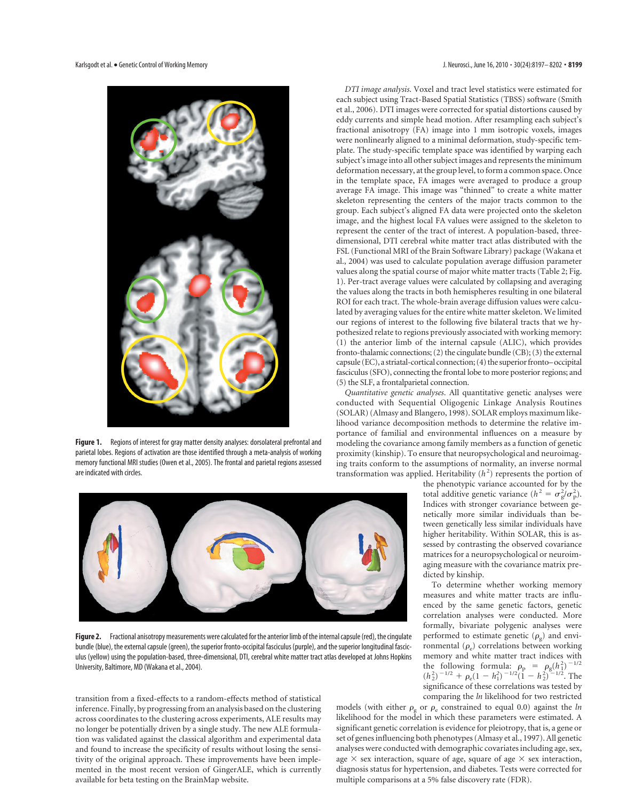

**Figure 1.** Regions of interest for gray matter density analyses: dorsolateral prefrontal and parietal lobes. Regions of activation are those identified through a meta-analysis of working memory functional MRI studies (Owen et al., 2005). The frontal and parietal regions assessed are indicated with circles.



**Figure 2.** Fractional anisotropy measurements were calculated for the anterior limb of the internal capsule (red), the cingulate bundle (blue), the external capsule (green), the superior fronto-occipital fasciculus (purple), and the superior longitudinal fasciculus (yellow) using the population-based, three-dimensional, DTI, cerebral white matter tract atlas developed at Johns Hopkins University, Baltimore, MD (Wakana et al., 2004).

transition from a fixed-effects to a random-effects method of statistical inference. Finally, by progressing from an analysis based on the clustering across coordinates to the clustering across experiments, ALE results may no longer be potentially driven by a single study. The new ALE formulation was validated against the classical algorithm and experimental data and found to increase the specificity of results without losing the sensitivity of the original approach. These improvements have been implemented in the most recent version of GingerALE, which is currently available for beta testing on the BrainMap website.

*DTI image analysis*. Voxel and tract level statistics were estimated for each subject using Tract-Based Spatial Statistics (TBSS) software (Smith et al., 2006). DTI images were corrected for spatial distortions caused by eddy currents and simple head motion. After resampling each subject's fractional anisotropy (FA) image into 1 mm isotropic voxels, images were nonlinearly aligned to a minimal deformation, study-specific template. The study-specific template space was identified by warping each subject's image into all other subject images and represents the minimum deformation necessary, at the group level, to form a common space. Once in the template space, FA images were averaged to produce a group average FA image. This image was "thinned" to create a white matter skeleton representing the centers of the major tracts common to the group. Each subject's aligned FA data were projected onto the skeleton image, and the highest local FA values were assigned to the skeleton to represent the center of the tract of interest. A population-based, threedimensional, DTI cerebral white matter tract atlas distributed with the FSL (Functional MRI of the Brain Software Library) package (Wakana et al., 2004) was used to calculate population average diffusion parameter values along the spatial course of major white matter tracts (Table 2; Fig. 1). Per-tract average values were calculated by collapsing and averaging the values along the tracts in both hemispheres resulting in one bilateral ROI for each tract. The whole-brain average diffusion values were calculated by averaging values for the entire white matter skeleton. We limited our regions of interest to the following five bilateral tracts that we hypothesized relate to regions previously associated with working memory: (1) the anterior limb of the internal capsule (ALIC), which provides fronto-thalamic connections; (2) the cingulate bundle (CB); (3) the external capsule (EC), a striatal-cortical connection; (4) the superior fronto–occipital fasciculus (SFO), connecting the frontal lobe to more posterior regions; and (5) the SLF, a frontalparietal connection.

*Quantitative genetic analyses*. All quantitative genetic analyses were conducted with Sequential Oligogenic Linkage Analysis Routines (SOLAR) (Almasy and Blangero, 1998). SOLAR employs maximum likelihood variance decomposition methods to determine the relative importance of familial and environmental influences on a measure by modeling the covariance among family members as a function of genetic proximity (kinship). To ensure that neuropsychological and neuroimaging traits conform to the assumptions of normality, an inverse normal transformation was applied. Heritability  $(h^2)$  represents the portion of

> the phenotypic variance accounted for by the total additive genetic variance  $(h^2 = \sigma_g^2/\sigma_p^2)$ . Indices with stronger covariance between genetically more similar individuals than between genetically less similar individuals have higher heritability. Within SOLAR, this is assessed by contrasting the observed covariance matrices for a neuropsychological or neuroimaging measure with the covariance matrix predicted by kinship.

> To determine whether working memory measures and white matter tracts are influenced by the same genetic factors, genetic correlation analyses were conducted. More formally, bivariate polygenic analyses were performed to estimate genetic  $(\rho_g)$  and environmental  $(\rho_e)$  correlations between working memory and white matter tract indices with the following formula:  $\rho_p = \rho_g (h_1^2)^{-1/2}$  $(h_2^2)^{-1/2} + \rho_e(1 - h_1^2)^{-1/2}(1 - h_2^2)^{8-1/2}$ . The significance of these correlations was tested by comparing the *ln* likelihood for two restricted

models (with either  $\rho_{\rm g}$  or  $\rho_{\rm e}$  constrained to equal 0.0) against the *ln* likelihood for the model in which these parameters were estimated. A significant genetic correlation is evidence for pleiotropy, that is, a gene or set of genes influencing both phenotypes (Almasy et al., 1997). All genetic analyses were conducted with demographic covariates including age, sex, age  $\times$  sex interaction, square of age, square of age  $\times$  sex interaction, diagnosis status for hypertension, and diabetes. Tests were corrected for multiple comparisons at a 5% false discovery rate (FDR).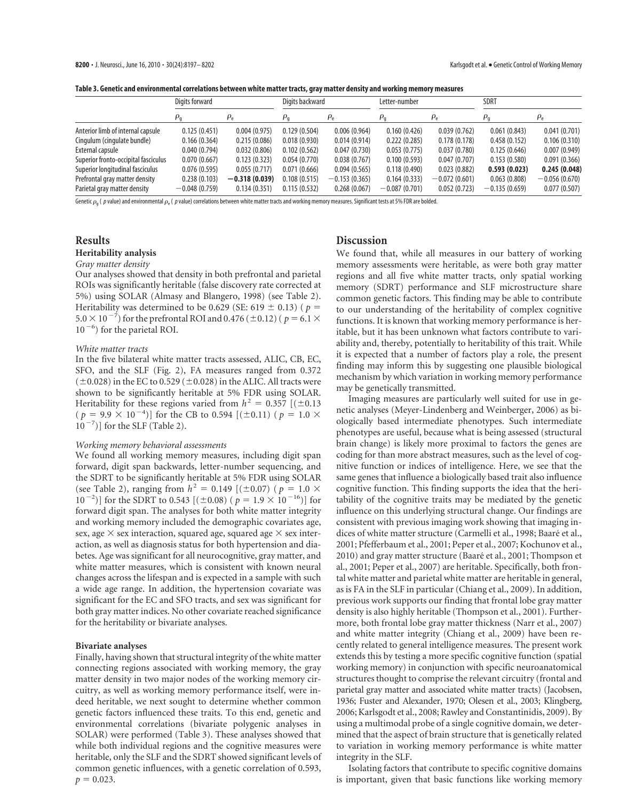| Table 3. Genetic and environmental correlations between white matter tracts, gray matter density and working memory measures |  |  |  |
|------------------------------------------------------------------------------------------------------------------------------|--|--|--|
|                                                                                                                              |  |  |  |

|                                      | Digits forward  |                 | Digits backward |                 | Letter-number   |                 | <b>SDRT</b>     |                 |
|--------------------------------------|-----------------|-----------------|-----------------|-----------------|-----------------|-----------------|-----------------|-----------------|
|                                      |                 | $\rho_e$        | $\rho_a$        | $\rho_e$        |                 |                 | $\rho_a$        | $\rho_e$        |
| Anterior limb of internal capsule    | 0.125(0.451)    | 0.004(0.975)    | 0.129(0.504)    | 0.006(0.964)    | 0.160(0.426)    | 0.039(0.762)    | 0.061(0.843)    | 0.041(0.701)    |
| Cingulum (cingulate bundle)          | 0.166(0.364)    | 0.215(0.086)    | 0.018(0.930)    | 0.014(0.914)    | 0.222(0.285)    | 0.178(0.178)    | 0.458(0.152)    | 0.106(0.310)    |
| External capsule                     | 0.040(0.794)    | 0.032(0.806)    | 0.102(0.562)    | 0.047(0.730)    | 0.053(0.775)    | 0.037(0.780)    | 0.125(0.646)    | 0.007(0.949)    |
| Superior fronto-occipital fasciculus | 0.070(0.667)    | 0.123(0.323)    | 0.054(0.770)    | 0.038(0.767)    | 0.100(0.593)    | 0.047(0.707)    | 0.153(0.580)    | 0.091(0.366)    |
| Superior longitudinal fasciculus     | 0.076(0.595)    | 0.055(0.717)    | 0.071(0.666)    | 0.094(0.565)    | 0.118(0.490)    | 0.023(0.882)    | 0.593(0.023)    | 0.245(0.048)    |
| Prefrontal gray matter density       | 0.238(0.103)    | $-0.318(0.039)$ | 0.108(0.515)    | $-0.153(0.365)$ | 0.164(0.333)    | $-0.072(0.601)$ | 0.063(0.808)    | $-0.056(0.670)$ |
| Parietal gray matter density         | $-0.048(0.759)$ | 0.134(0.351)    | 0.115(0.532)    | 0.268(0.067)    | $-0.087(0.701)$ | 0.052(0.723)    | $-0.135(0.659)$ | 0.077(0.507)    |

Genetic  $\rho_a$  ( pvalue) and environmental  $\rho_e$  ( pvalue) correlations between white matter tracts and working memory measures. Significant tests at 5% FDR are bolded.

# **Results**

### **Heritability analysis**

#### *Gray matter density*

Our analyses showed that density in both prefrontal and parietal ROIs was significantly heritable (false discovery rate corrected at 5%) using SOLAR (Almasy and Blangero, 1998) (see Table 2). Heritability was determined to be 0.629 (SE: 619  $\pm$  0.13) ( $p =$  $5.0 \times 10^{-7}$ ) for the prefrontal ROI and 0.476 ( $\pm$ 0.12) (  $p = 6.1 \times$  $10^{-6}$ ) for the parietal ROI.

#### *White matter tracts*

In the five bilateral white matter tracts assessed, ALIC, CB, EC, SFO, and the SLF (Fig. 2), FA measures ranged from 0.372  $(\pm 0.028)$  in the EC to 0.529 ( $\pm 0.028$ ) in the ALIC. All tracts were shown to be significantly heritable at 5% FDR using SOLAR. Heritability for these regions varied from  $h^2 = 0.357$  [( $\pm 0.13$ )]  $(p = 9.9 \times 10^{-4})$ ] for the CB to 0.594 [(±0.11) ( $p = 1.0 \times$  $10^{-7}$ )] for the SLF (Table 2).

#### *Working memory behavioral assessments*

We found all working memory measures, including digit span forward, digit span backwards, letter-number sequencing, and the SDRT to be significantly heritable at 5% FDR using SOLAR (see Table 2), ranging from  $h^2 = 0.149$  [( $\pm 0.07$ ) ( $p = 1.0 \times$  $(10^{-2})$ ] for the SDRT to 0.543 [(±0.08) ( $p = 1.9 \times 10^{-16}$ )] for forward digit span. The analyses for both white matter integrity and working memory included the demographic covariates age, sex, age  $\times$  sex interaction, squared age, squared age  $\times$  sex interaction, as well as diagnosis status for both hypertension and diabetes. Age was significant for all neurocognitive, gray matter, and white matter measures, which is consistent with known neural changes across the lifespan and is expected in a sample with such a wide age range. In addition, the hypertension covariate was significant for the EC and SFO tracts, and sex was significant for both gray matter indices. No other covariate reached significance for the heritability or bivariate analyses.

#### **Bivariate analyses**

Finally, having shown that structural integrity of the white matter connecting regions associated with working memory, the gray matter density in two major nodes of the working memory circuitry, as well as working memory performance itself, were indeed heritable, we next sought to determine whether common genetic factors influenced these traits. To this end, genetic and environmental correlations (bivariate polygenic analyses in SOLAR) were performed (Table 3). These analyses showed that while both individual regions and the cognitive measures were heritable, only the SLF and the SDRT showed significant levels of common genetic influences, with a genetic correlation of 0.593,  $p = 0.023$ .

# **Discussion**

We found that, while all measures in our battery of working memory assessments were heritable, as were both gray matter regions and all five white matter tracts, only spatial working memory (SDRT) performance and SLF microstructure share common genetic factors. This finding may be able to contribute to our understanding of the heritability of complex cognitive functions. It is known that working memory performance is heritable, but it has been unknown what factors contribute to variability and, thereby, potentially to heritability of this trait. While it is expected that a number of factors play a role, the present finding may inform this by suggesting one plausible biological mechanism by which variation in working memory performance may be genetically transmitted.

Imaging measures are particularly well suited for use in genetic analyses (Meyer-Lindenberg and Weinberger, 2006) as biologically based intermediate phenotypes. Such intermediate phenotypes are useful, because what is being assessed (structural brain change) is likely more proximal to factors the genes are coding for than more abstract measures, such as the level of cognitive function or indices of intelligence. Here, we see that the same genes that influence a biologically based trait also influence cognitive function. This finding supports the idea that the heritability of the cognitive traits may be mediated by the genetic influence on this underlying structural change. Our findings are consistent with previous imaging work showing that imaging indices of white matter structure (Carmelli et al., 1998; Baaré et al., 2001; Pfefferbaum et al., 2001; Peper et al., 2007; Kochunov et al., 2010) and gray matter structure (Baaré et al., 2001; Thompson et al., 2001; Peper et al., 2007) are heritable. Specifically, both frontal white matter and parietal white matter are heritable in general, as is FA in the SLF in particular (Chiang et al., 2009). In addition, previous work supports our finding that frontal lobe gray matter density is also highly heritable (Thompson et al., 2001). Furthermore, both frontal lobe gray matter thickness (Narr et al., 2007) and white matter integrity (Chiang et al., 2009) have been recently related to general intelligence measures. The present work extends this by testing a more specific cognitive function (spatial working memory) in conjunction with specific neuroanatomical structures thought to comprise the relevant circuitry (frontal and parietal gray matter and associated white matter tracts) (Jacobsen, 1936; Fuster and Alexander, 1970; Olesen et al., 2003; Klingberg, 2006; Karlsgodt et al., 2008; Rawley and Constantinidis, 2009). By using a multimodal probe of a single cognitive domain, we determined that the aspect of brain structure that is genetically related to variation in working memory performance is white matter integrity in the SLF.

Isolating factors that contribute to specific cognitive domains is important, given that basic functions like working memory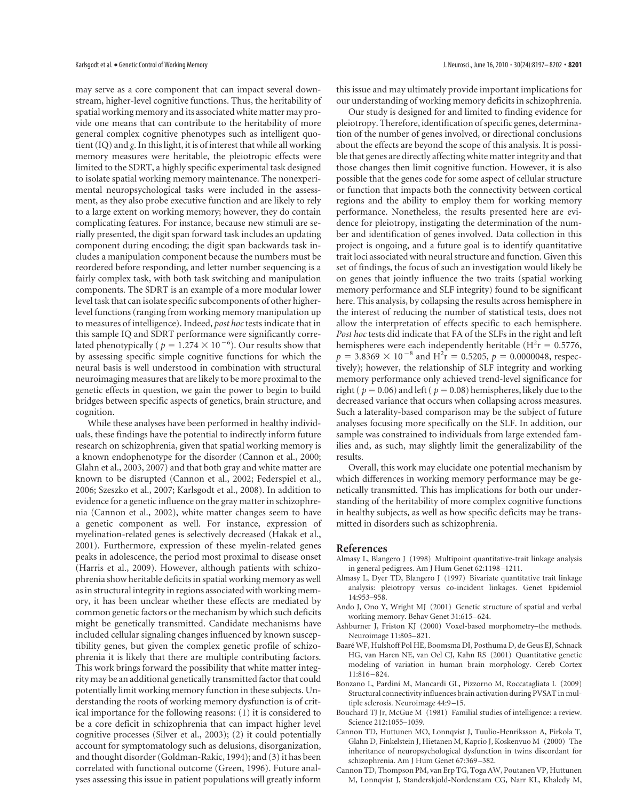may serve as a core component that can impact several downstream, higher-level cognitive functions. Thus, the heritability of spatial working memory and its associated white matter may provide one means that can contribute to the heritability of more general complex cognitive phenotypes such as intelligent quotient (IQ) and *g*. In this light, it is of interest that while all working memory measures were heritable, the pleiotropic effects were limited to the SDRT, a highly specific experimental task designed to isolate spatial working memory maintenance. The nonexperimental neuropsychological tasks were included in the assessment, as they also probe executive function and are likely to rely to a large extent on working memory; however, they do contain complicating features. For instance, because new stimuli are serially presented, the digit span forward task includes an updating component during encoding; the digit span backwards task includes a manipulation component because the numbers must be reordered before responding, and letter number sequencing is a fairly complex task, with both task switching and manipulation components. The SDRT is an example of a more modular lower level task that can isolate specific subcomponents of other higherlevel functions (ranging from working memory manipulation up to measures of intelligence). Indeed, *post hoc* tests indicate that in this sample IQ and SDRT performance were significantly correlated phenotypically ( $p = 1.274 \times 10^{-6}$ ). Our results show that by assessing specific simple cognitive functions for which the neural basis is well understood in combination with structural neuroimaging measures that are likely to be more proximal to the genetic effects in question, we gain the power to begin to build bridges between specific aspects of genetics, brain structure, and cognition.

While these analyses have been performed in healthy individuals, these findings have the potential to indirectly inform future research on schizophrenia, given that spatial working memory is a known endophenotype for the disorder (Cannon et al., 2000; Glahn et al., 2003, 2007) and that both gray and white matter are known to be disrupted (Cannon et al., 2002; Federspiel et al., 2006; Szeszko et al., 2007; Karlsgodt et al., 2008). In addition to evidence for a genetic influence on the gray matter in schizophrenia (Cannon et al., 2002), white matter changes seem to have a genetic component as well. For instance, expression of myelination-related genes is selectively decreased (Hakak et al., 2001). Furthermore, expression of these myelin-related genes peaks in adolescence, the period most proximal to disease onset (Harris et al., 2009). However, although patients with schizophrenia show heritable deficits in spatial working memory as well as in structural integrity in regions associated with working memory, it has been unclear whether these effects are mediated by common genetic factors or the mechanism by which such deficits might be genetically transmitted. Candidate mechanisms have included cellular signaling changes influenced by known susceptibility genes, but given the complex genetic profile of schizophrenia it is likely that there are multiple contributing factors. This work brings forward the possibility that white matter integrity may be an additional genetically transmitted factor that could potentially limit working memory function in these subjects. Understanding the roots of working memory dysfunction is of critical importance for the following reasons: (1) it is considered to be a core deficit in schizophrenia that can impact higher level cognitive processes (Silver et al., 2003); (2) it could potentially account for symptomatology such as delusions, disorganization, and thought disorder (Goldman-Rakic, 1994); and (3) it has been correlated with functional outcome (Green, 1996). Future analyses assessing this issue in patient populations will greatly inform

this issue and may ultimately provide important implications for our understanding of working memory deficits in schizophrenia.

Our study is designed for and limited to finding evidence for pleiotropy. Therefore, identification of specific genes, determination of the number of genes involved, or directional conclusions about the effects are beyond the scope of this analysis. It is possible that genes are directly affecting white matter integrity and that those changes then limit cognitive function. However, it is also possible that the genes code for some aspect of cellular structure or function that impacts both the connectivity between cortical regions and the ability to employ them for working memory performance. Nonetheless, the results presented here are evidence for pleiotropy, instigating the determination of the number and identification of genes involved. Data collection in this project is ongoing, and a future goal is to identify quantitative trait loci associated with neural structure and function. Given this set of findings, the focus of such an investigation would likely be on genes that jointly influence the two traits (spatial working memory performance and SLF integrity) found to be significant here. This analysis, by collapsing the results across hemisphere in the interest of reducing the number of statistical tests, does not allow the interpretation of effects specific to each hemisphere. *Post hoc* tests did indicate that FA of the SLFs in the right and left hemispheres were each independently heritable ( $H^2r = 0.5776$ ,  $p = 3.8369 \times 10^{-8}$  and  $H^2r = 0.5205$ ,  $p = 0.0000048$ , respectively); however, the relationship of SLF integrity and working memory performance only achieved trend-level significance for right ( $p = 0.06$ ) and left ( $p = 0.08$ ) hemispheres, likely due to the decreased variance that occurs when collapsing across measures. Such a laterality-based comparison may be the subject of future analyses focusing more specifically on the SLF. In addition, our sample was constrained to individuals from large extended families and, as such, may slightly limit the generalizability of the results.

Overall, this work may elucidate one potential mechanism by which differences in working memory performance may be genetically transmitted. This has implications for both our understanding of the heritability of more complex cognitive functions in healthy subjects, as well as how specific deficits may be transmitted in disorders such as schizophrenia.

#### **References**

- Almasy L, Blangero J (1998) Multipoint quantitative-trait linkage analysis in general pedigrees. Am J Hum Genet 62:1198 –1211.
- Almasy L, Dyer TD, Blangero J (1997) Bivariate quantitative trait linkage analysis: pleiotropy versus co-incident linkages. Genet Epidemiol 14:953–958.
- Ando J, Ono Y, Wright MJ (2001) Genetic structure of spatial and verbal working memory. Behav Genet 31:615–624.
- Ashburner J, Friston KJ (2000) Voxel-based morphometry–the methods. Neuroimage 11:805–821.
- Baaré WF, Hulshoff Pol HE, Boomsma DI, Posthuma D, de Geus EJ, Schnack HG, van Haren NE, van Oel CJ, Kahn RS (2001) Quantitative genetic modeling of variation in human brain morphology. Cereb Cortex 11:816 –824.
- Bonzano L, Pardini M, Mancardi GL, Pizzorno M, Roccatagliata L (2009) Structural connectivity influences brain activation during PVSAT in multiple sclerosis. Neuroimage 44:9 –15.
- Bouchard TJ Jr, McGue M (1981) Familial studies of intelligence: a review. Science 212:1055–1059.
- Cannon TD, Huttunen MO, Lonnqvist J, Tuulio-Henriksson A, Pirkola T, Glahn D, Finkelstein J, Hietanen M, Kaprio J, Koskenvuo M (2000) The inheritance of neuropsychological dysfunction in twins discordant for schizophrenia. Am J Hum Genet 67:369 –382.
- Cannon TD, Thompson PM, van Erp TG, Toga AW, Poutanen VP, Huttunen M, Lonnqvist J, Standerskjold-Nordenstam CG, Narr KL, Khaledy M,